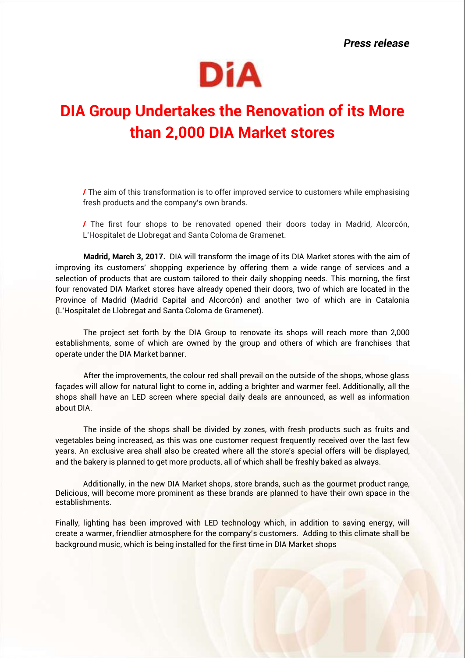*Press release*



## **DIA Group Undertakes the Renovation of its More than 2,000 DIA Market stores**

**/** The aim of this transformation is to offer improved service to customers while emphasising fresh products and the company's own brands.

**/** The first four shops to be renovated opened their doors today in Madrid, Alcorcón, L'Hospitalet de Llobregat and Santa Coloma de Gramenet.

**Madrid, March 3, 2017.** DIA will transform the image of its DIA Market stores with the aim of improving its customers' shopping experience by offering them a wide range of services and a selection of products that are custom tailored to their daily shopping needs. This morning, the first four renovated DIA Market stores have already opened their doors, two of which are located in the Province of Madrid (Madrid Capital and Alcorcón) and another two of which are in Catalonia (L'Hospitalet de Llobregat and Santa Coloma de Gramenet).

The project set forth by the DIA Group to renovate its shops will reach more than 2,000 establishments, some of which are owned by the group and others of which are franchises that operate under the DIA Market banner.

After the improvements, the colour red shall prevail on the outside of the shops, whose glass façades will allow for natural light to come in, adding a brighter and warmer feel. Additionally, all the shops shall have an LED screen where special daily deals are announced, as well as information about DIA.

The inside of the shops shall be divided by zones, with fresh products such as fruits and vegetables being increased, as this was one customer request frequently received over the last few years. An exclusive area shall also be created where all the store's special offers will be displayed, and the bakery is planned to get more products, all of which shall be freshly baked as always.

Additionally, in the new DIA Market shops, store brands, such as the gourmet product range, Delicious, will become more prominent as these brands are planned to have their own space in the establishments.

Finally, lighting has been improved with LED technology which, in addition to saving energy, will create a warmer, friendlier atmosphere for the company's customers. Adding to this climate shall be background music, which is being installed for the first time in DIA Market shops